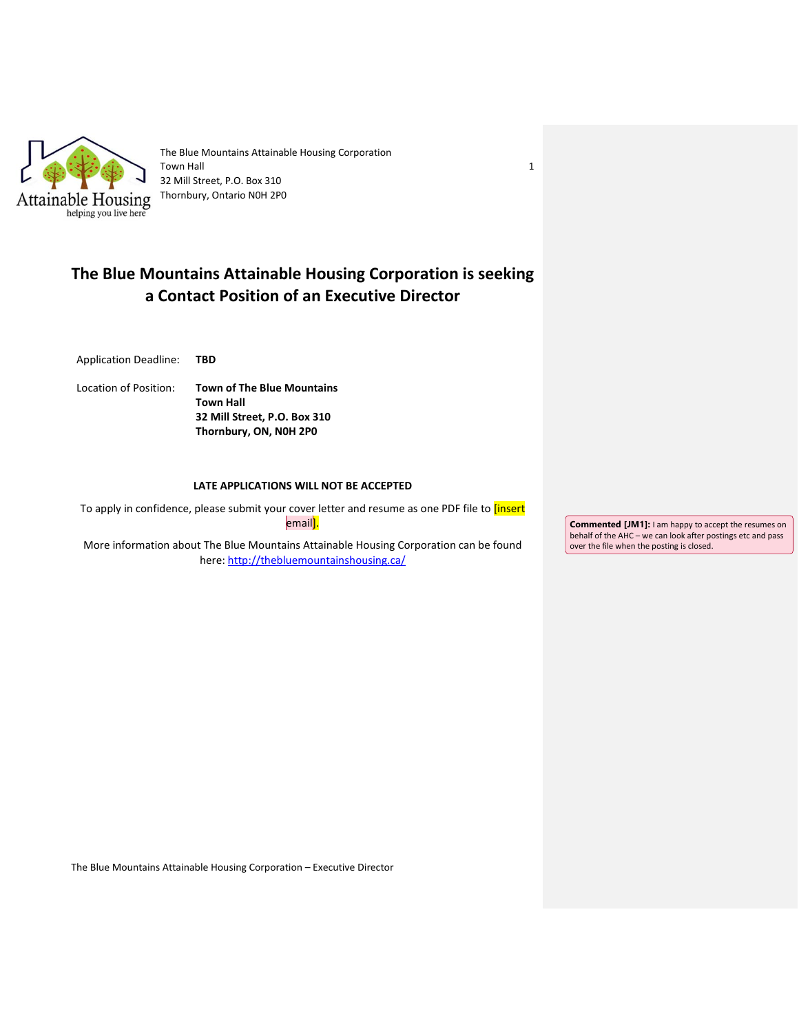

The Blue Mountains Attainable Housing Corporation Town Hall 32 Mill Street, P.O. Box 310 Thornbury, Ontario N0H 2P0

# **The Blue Mountains Attainable Housing Corporation is seeking a Contact Position of an Executive Director**

Application Deadline: **TBD**

Location of Position: **Town of The Blue Mountains Town Hall 32 Mill Street, P.O. Box 310 Thornbury, ON, N0H 2P0**

## **LATE APPLICATIONS WILL NOT BE ACCEPTED**

To apply in confidence, please submit your cover letter and resume as one PDF file to *[insert* email<mark>].</mark>

More information about The Blue Mountains Attainable Housing Corporation can be found here:<http://thebluemountainshousing.ca/>

**Commented [JM1]:** I am happy to accept the resumes on behalf of the AHC – we can look after postings etc and pass over the file when the posting is closed.

The Blue Mountains Attainable Housing Corporation – Executive Director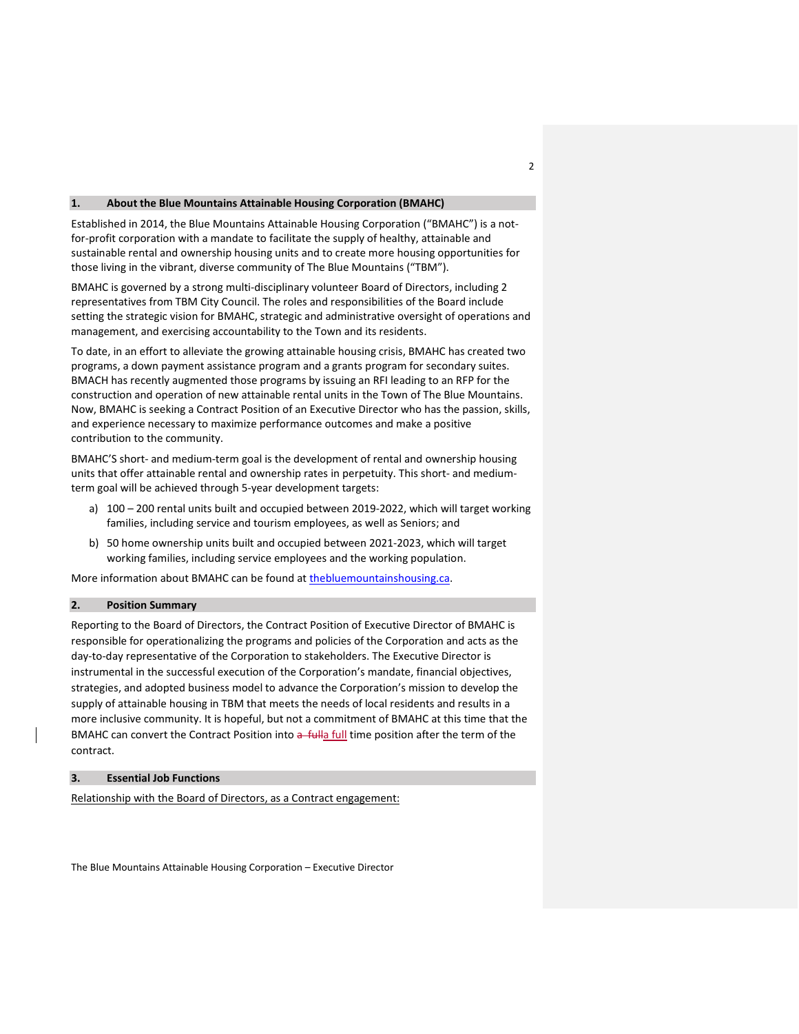#### **1. About the Blue Mountains Attainable Housing Corporation (BMAHC)**

Established in 2014, the Blue Mountains Attainable Housing Corporation ("BMAHC") is a notfor-profit corporation with a mandate to facilitate the supply of healthy, attainable and sustainable rental and ownership housing units and to create more housing opportunities for those living in the vibrant, diverse community of The Blue Mountains ("TBM").

BMAHC is governed by a strong multi-disciplinary volunteer Board of Directors, including 2 representatives from TBM City Council. The roles and responsibilities of the Board include setting the strategic vision for BMAHC, strategic and administrative oversight of operations and management, and exercising accountability to the Town and its residents.

To date, in an effort to alleviate the growing attainable housing crisis, BMAHC has created two programs, a down payment assistance program and a grants program for secondary suites. BMACH has recently augmented those programs by issuing an RFI leading to an RFP for the construction and operation of new attainable rental units in the Town of The Blue Mountains. Now, BMAHC is seeking a Contract Position of an Executive Director who has the passion, skills, and experience necessary to maximize performance outcomes and make a positive contribution to the community.

BMAHC'S short- and medium-term goal is the development of rental and ownership housing units that offer attainable rental and ownership rates in perpetuity. This short- and mediumterm goal will be achieved through 5-year development targets:

- a) 100 200 rental units built and occupied between 2019-2022, which will target working families, including service and tourism employees, as well as Seniors; and
- b) 50 home ownership units built and occupied between 2021-2023, which will target working families, including service employees and the working population.

More information about BMAHC can be found at [thebluemountainshousing.ca.](http://thebluemountainshousing.ca/)

# **2. Position Summary**

Reporting to the Board of Directors, the Contract Position of Executive Director of BMAHC is responsible for operationalizing the programs and policies of the Corporation and acts as the day-to-day representative of the Corporation to stakeholders. The Executive Director is instrumental in the successful execution of the Corporation's mandate, financial objectives, strategies, and adopted business model to advance the Corporation's mission to develop the supply of attainable housing in TBM that meets the needs of local residents and results in a more inclusive community. It is hopeful, but not a commitment of BMAHC at this time that the BMAHC can convert the Contract Position into a fulla full time position after the term of the contract.

# **3. Essential Job Functions**

Relationship with the Board of Directors, as a Contract engagement: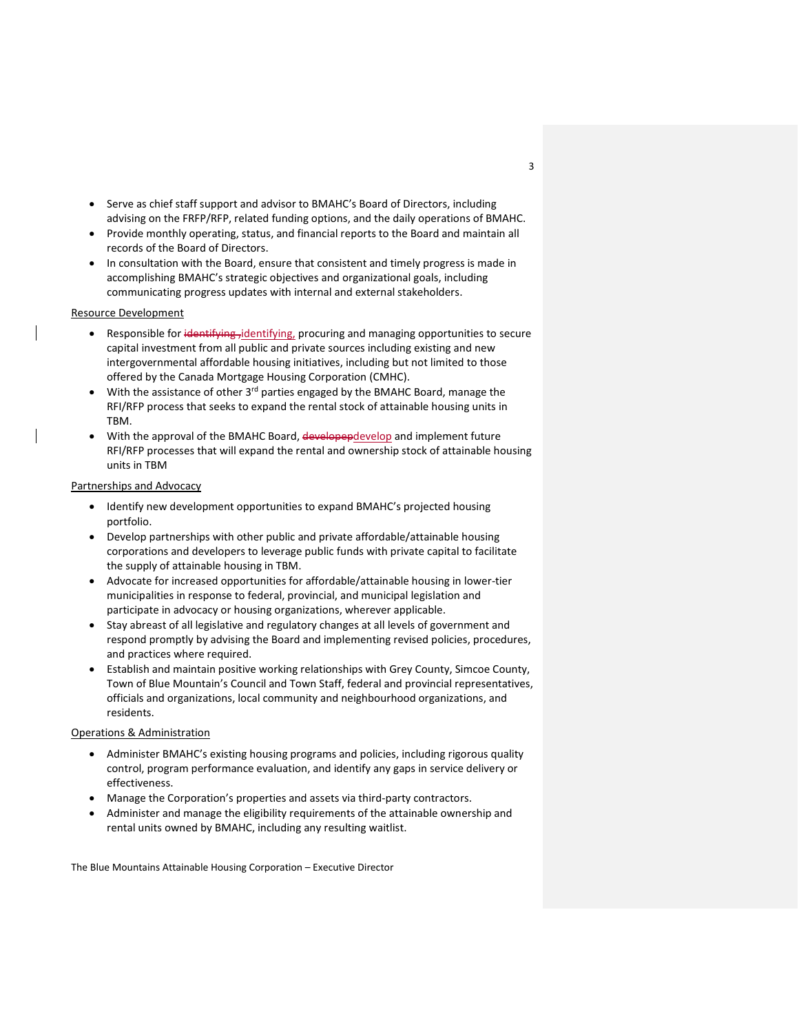- Serve as chief staff support and advisor to BMAHC's Board of Directors, including advising on the FRFP/RFP, related funding options, and the daily operations of BMAHC.
- Provide monthly operating, status, and financial reports to the Board and maintain all records of the Board of Directors.
- In consultation with the Board, ensure that consistent and timely progress is made in accomplishing BMAHC's strategic objectives and organizational goals, including communicating progress updates with internal and external stakeholders.

#### Resource Development

- Responsible for identifying, identifying, procuring and managing opportunities to secure capital investment from all public and private sources including existing and new intergovernmental affordable housing initiatives, including but not limited to those offered by the Canada Mortgage Housing Corporation (CMHC).
- With the assistance of other  $3<sup>rd</sup>$  parties engaged by the BMAHC Board, manage the RFI/RFP process that seeks to expand the rental stock of attainable housing units in TBM.
- With the approval of the BMAHC Board, developepdevelop and implement future RFI/RFP processes that will expand the rental and ownership stock of attainable housing units in TBM

## Partnerships and Advocacy

- Identify new development opportunities to expand BMAHC's projected housing portfolio.
- Develop partnerships with other public and private affordable/attainable housing corporations and developers to leverage public funds with private capital to facilitate the supply of attainable housing in TBM.
- Advocate for increased opportunities for affordable/attainable housing in lower-tier municipalities in response to federal, provincial, and municipal legislation and participate in advocacy or housing organizations, wherever applicable.
- Stay abreast of all legislative and regulatory changes at all levels of government and respond promptly by advising the Board and implementing revised policies, procedures, and practices where required.
- Establish and maintain positive working relationships with Grey County, Simcoe County, Town of Blue Mountain's Council and Town Staff, federal and provincial representatives, officials and organizations, local community and neighbourhood organizations, and residents.

## Operations & Administration

- Administer BMAHC's existing housing programs and policies, including rigorous quality control, program performance evaluation, and identify any gaps in service delivery or effectiveness.
- Manage the Corporation's properties and assets via third-party contractors.
- Administer and manage the eligibility requirements of the attainable ownership and rental units owned by BMAHC, including any resulting waitlist.

The Blue Mountains Attainable Housing Corporation – Executive Director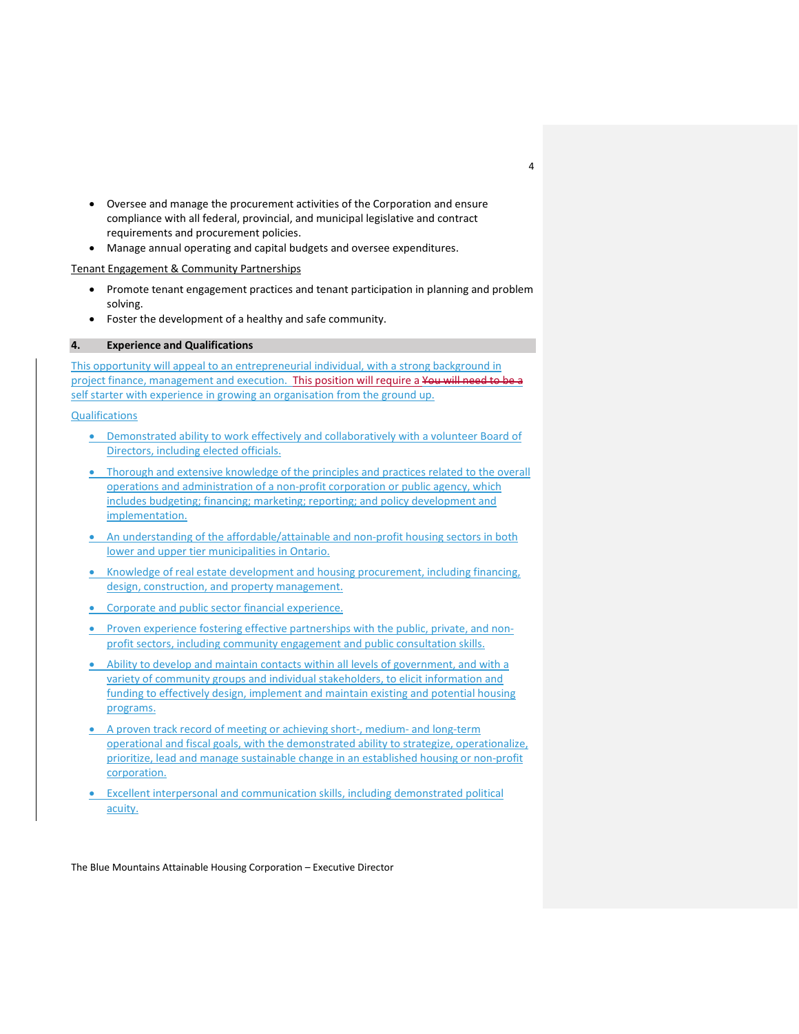- Oversee and manage the procurement activities of the Corporation and ensure compliance with all federal, provincial, and municipal legislative and contract requirements and procurement policies.
- Manage annual operating and capital budgets and oversee expenditures.

#### Tenant Engagement & Community Partnerships

- Promote tenant engagement practices and tenant participation in planning and problem solving.
- Foster the development of a healthy and safe community.

## **4. Experience and Qualifications**

This opportunity will appeal to an entrepreneurial individual, with a strong background in project finance, management and execution. This position will require a You will need to be a self starter with experience in growing an organisation from the ground up.

#### **Qualifications**

- Demonstrated ability to work effectively and collaboratively with a volunteer Board of Directors, including elected officials.
- Thorough and extensive knowledge of the principles and practices related to the overall operations and administration of a non-profit corporation or public agency, which includes budgeting; financing; marketing; reporting; and policy development and implementation.
- An understanding of the affordable/attainable and non-profit housing sectors in both lower and upper tier municipalities in Ontario.
- Knowledge of real estate development and housing procurement, including financing, design, construction, and property management.
- Corporate and public sector financial experience.
- Proven experience fostering effective partnerships with the public, private, and nonprofit sectors, including community engagement and public consultation skills.
- Ability to develop and maintain contacts within all levels of government, and with a variety of community groups and individual stakeholders, to elicit information and funding to effectively design, implement and maintain existing and potential housing programs.
- A proven track record of meeting or achieving short-, medium- and long-term operational and fiscal goals, with the demonstrated ability to strategize, operationalize, prioritize, lead and manage sustainable change in an established housing or non-profit corporation.
- Excellent interpersonal and communication skills, including demonstrated political acuity.

The Blue Mountains Attainable Housing Corporation – Executive Director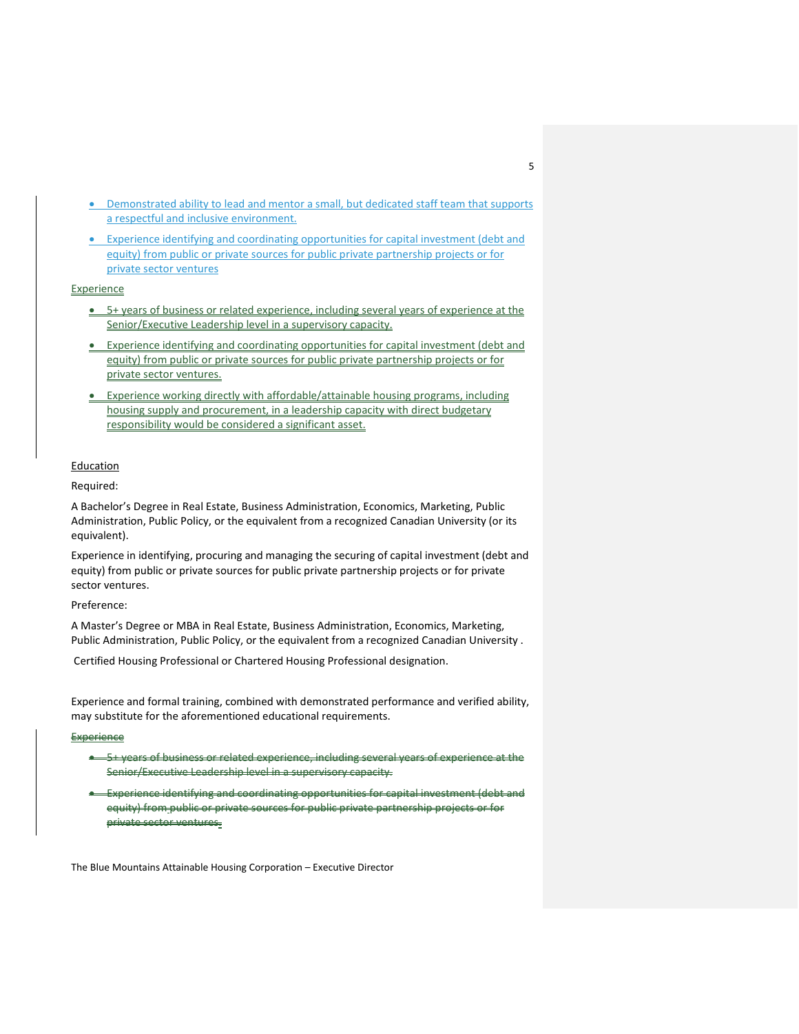- Demonstrated ability to lead and mentor a small, but dedicated staff team that supports a respectful and inclusive environment.
- Experience identifying and coordinating opportunities for capital investment (debt and equity) from public or private sources for public private partnership projects or for private sector ventures

## **Experience**

- 5+ years of business or related experience, including several years of experience at the Senior/Executive Leadership level in a supervisory capacity.
- Experience identifying and coordinating opportunities for capital investment (debt and equity) from public or private sources for public private partnership projects or for private sector ventures.
- Experience working directly with affordable/attainable housing programs, including housing supply and procurement, in a leadership capacity with direct budgetary responsibility would be considered a significant asset.

# Education

#### Required:

A Bachelor's Degree in Real Estate, Business Administration, Economics, Marketing, Public Administration, Public Policy, or the equivalent from a recognized Canadian University (or its equivalent).

Experience in identifying, procuring and managing the securing of capital investment (debt and equity) from public or private sources for public private partnership projects or for private sector ventures.

#### Preference:

A Master's Degree or MBA in Real Estate, Business Administration, Economics, Marketing, Public Administration, Public Policy, or the equivalent from a recognized Canadian University .

Certified Housing Professional or Chartered Housing Professional designation.

Experience and formal training, combined with demonstrated performance and verified ability, may substitute for the aforementioned educational requirements.

#### **Experience**

- 5+ years of business or related experience, including several years of experience at the Senior/Executive Leadership level in a supervisory capacity.
- Experience identifying and coordinating opportunities for capital investment (debt and equity) from public or private sources for public private partnership projects or for private sector ventures.

The Blue Mountains Attainable Housing Corporation – Executive Director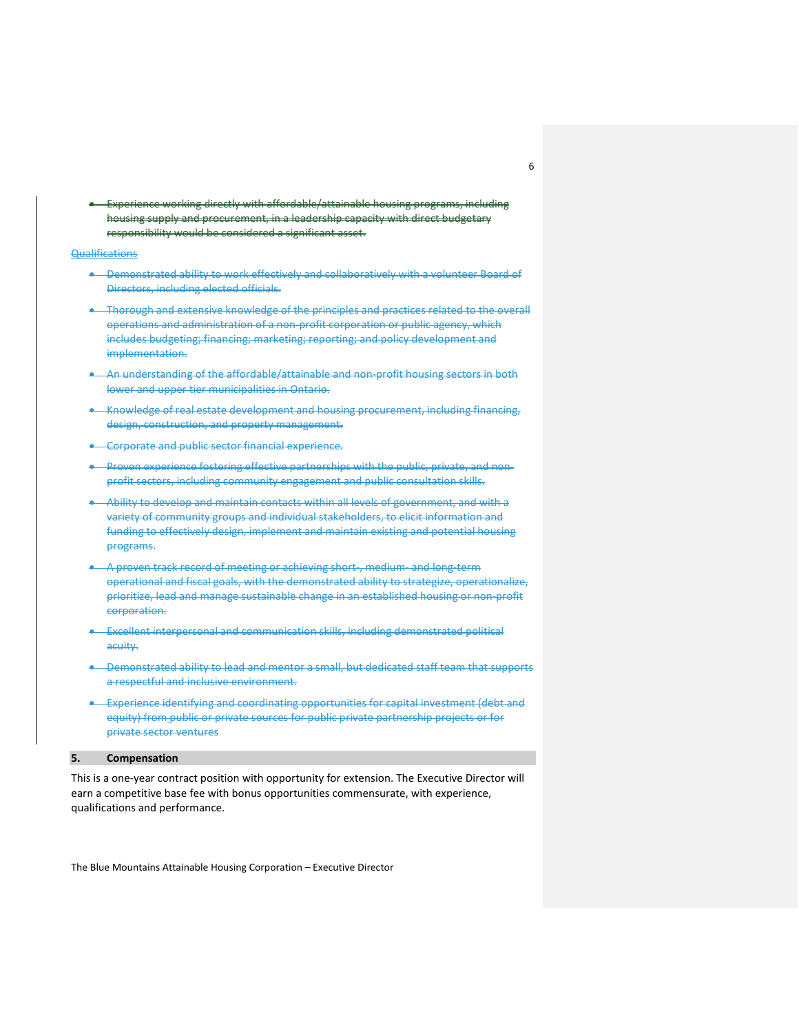• Experience working directly with affordable/attainable housing programs, including housing supply and procurement, in a leadership capacity with direct budgetary responsibility would be considered a significant asset.

#### Qualifications

- Demonstrated ability to work effectively and collaboratively with a volunteer Board of Directors, including elected officials.
- Thorough and extensive knowledge of the principles and practices related to the overall operations and administration of a non-profit corporation or public agency, which includes budgeting; financing; marketing; reporting; and policy development and implementation.
- An understanding of the affordable/attainable and non-profit housing sectors in both lower and upper tier municipalities in Ontario.
- Knowledge of real estate development and housing procurement, including financing, design, construction, and property management.
- Corporate and public sector financial experience.
- Proven experience fostering effective partnerships with the public, private, and nonprofit sectors, including community engagement and public consultation skills.
- Ability to develop and maintain contacts within all levels of government, and with a variety of community groups and individual stakeholders, to elicit information and funding to effectively design, implement and maintain existing and potential housing programs.
- A proven track record of meeting or achieving short-, medium- and long-term operational and fiscal goals, with the demonstrated ability to strategize, operationalize, prioritize, lead and manage sustainable change in an established housing or non-profit corporation.
- Excellent interpersonal and communication skills, including demonstrated political acuity.
- Demonstrated ability to lead and mentor a small, but dedicated staff team that supports a respectful and inclusive environment.
- Experience identifying and coordinating opportunities for capital investment (debt and equity) from public or private sources for public private partnership projects or for private sector ventures

#### **5. Compensation**

This is a one-year contract position with opportunity for extension. The Executive Director will earn a competitive base fee with bonus opportunities commensurate, with experience, qualifications and performance.

The Blue Mountains Attainable Housing Corporation – Executive Director